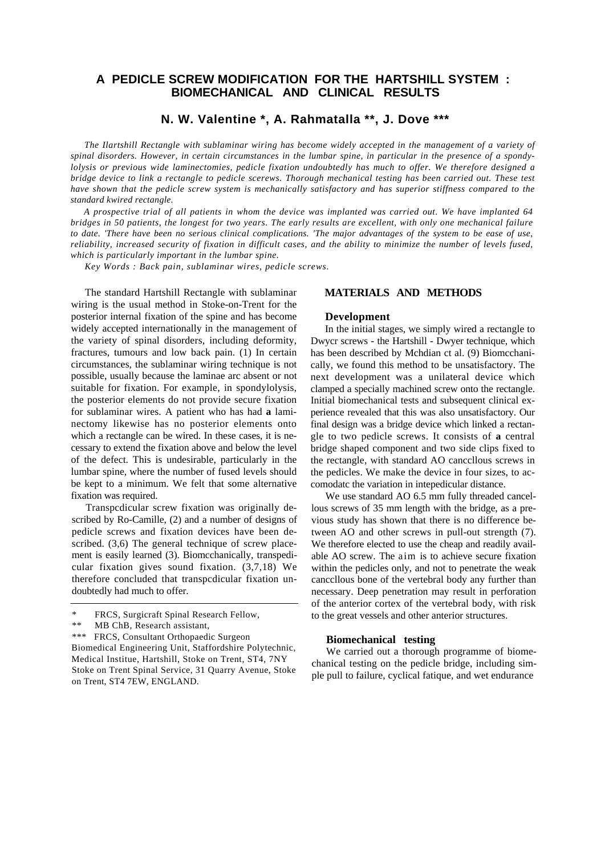# **A PEDICLE SCREW MODIFICATION FOR THE HARTSHILL SYSTEM : BIOMECHANICAL AND CLINICAL RESULTS**

**N. W. Valentine \*, A. Rahmatalla \*\*, J. Dove \*\*\***

*The Ilartshill Rectangle with sublaminar wiring has become widely accepted in the management of a variety of spinal disorders. However, in certain circumstances in the lumbar spine, in particular in the presence of a spondylolysis or previous wide laminectomies, pedicle fixation undoubtedly has much to offer. We therefore designed a bridge device to link a rectangle to pedicle scerews. Thorough mechanical testing has been carried out. These test have shown that the pedicle screw system is mechanically satisfactory and has superior stiffness compared to the standard kwired rectangle.*

*A prospective trial of all patients in whom the device was implanted was carried out. We have implanted 64 bridges in 50 patients, the longest for two years. The early results are excellent, with only one mechanical failure to date. 'There have been no serious clinical complications. 'The major advantages of the system to be ease of use, reliability, increased security of fixation in difficult cases, and the ability to minimize the number of levels fused, which is particularly important in the lumbar spine.*

*Key Words : Back pain, sublaminar wires, pedicle screws.*

The standard Hartshill Rectangle with sublaminar wiring is the usual method in Stoke-on-Trent for the posterior internal fixation of the spine and has become widely accepted internationally in the management of the variety of spinal disorders, including deformity, fractures, tumours and low back pain. (1) In certain circumstances, the sublaminar wiring technique is not possible, usually because the laminae arc absent or not suitable for fixation. For example, in spondylolysis, the posterior elements do not provide secure fixation for sublaminar wires. A patient who has had **a** laminectomy likewise has no posterior elements onto which a rectangle can be wired. In these cases, it is necessary to extend the fixation above and below the level of the defect. This is undesirable, particularly in the lumbar spine, where the number of fused levels should be kept to a minimum. We felt that some alternative fixation was required.

Transpcdicular screw fixation was originally described by Ro-Camille, (2) and a number of designs of pedicle screws and fixation devices have been described. (3,6) The general technique of screw placement is easily learned (3). Biomcchanically, transpedicular fixation gives sound fixation. (3,7,18) We therefore concluded that transpcdicular fixation undoubtedly had much to offer.

# **MATERIALS AND METHODS**

### **Development**

In the initial stages, we simply wired a rectangle to Dwycr screws - the Hartshill - Dwyer technique, which has been described by Mchdian ct al. (9) Biomcchanically, we found this method to be unsatisfactory. The next development was a unilateral device which clamped a specially machined screw onto the rectangle. Initial biomechanical tests and subsequent clinical experience revealed that this was also unsatisfactory. Our final design was a bridge device which linked a rectangle to two pedicle screws. It consists of **a** central bridge shaped component and two side clips fixed to the rectangle, with standard AO canccllous screws in the pedicles. We make the device in four sizes, to accomodatc the variation in intepedicular distance.

We use standard AO 6.5 mm fully threaded cancellous screws of 35 mm length with the bridge, as a previous study has shown that there is no difference between AO and other screws in pull-out strength (7). We therefore elected to use the cheap and readily available AO screw. The aim is to achieve secure fixation within the pedicles only, and not to penetrate the weak canccllous bone of the vertebral body any further than necessary. Deep penetration may result in perforation of the anterior cortex of the vertebral body, with risk to the great vessels and other anterior structures.

# **Biomechanical testing**

We carried out a thorough programme of biomechanical testing on the pedicle bridge, including simple pull to failure, cyclical fatique, and wet endurance

FRCS, Surgicraft Spinal Research Fellow,

<sup>\*\*</sup> MB ChB, Research assistant,

<sup>\*\*\*</sup> FRCS, Consultant Orthopaedic Surgeon

Biomedical Engineering Unit, Staffordshire Polytechnic, Medical Institue, Hartshill, Stoke on Trent, ST4, 7NY Stoke on Trent Spinal Service, 31 Quarry Avenue, Stoke on Trent, ST4 7EW, ENGLAND.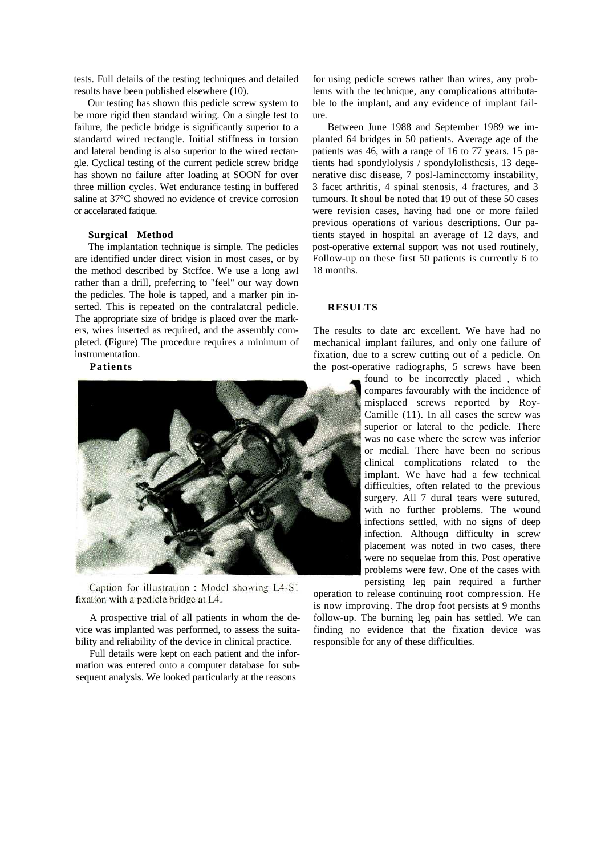tests. Full details of the testing techniques and detailed results have been published elsewhere (10).

Our testing has shown this pedicle screw system to be more rigid then standard wiring. On a single test to failure, the pedicle bridge is significantly superior to a standartd wired rectangle. Initial stiffness in torsion and lateral bending is also superior to the wired rectangle. Cyclical testing of the current pedicle screw bridge has shown no failure after loading at SOON for over three million cycles. Wet endurance testing in buffered saline at 37°C showed no evidence of crevice corrosion or accelarated fatique.

## **Surgical Method**

The implantation technique is simple. The pedicles are identified under direct vision in most cases, or by the method described by Stcffce. We use a long awl rather than a drill, preferring to "feel" our way down the pedicles. The hole is tapped, and a marker pin inserted. This is repeated on the contralatcral pedicle. The appropriate size of bridge is placed over the markers, wires inserted as required, and the assembly completed. (Figure) The procedure requires a minimum of instrumentation.

# **Patients**



Caption for illustration : Model showing L4-S1 fixation with a pedicle bridge at L4.

A prospective trial of all patients in whom the device was implanted was performed, to assess the suitability and reliability of the device in clinical practice.

Full details were kept on each patient and the information was entered onto a computer database for subsequent analysis. We looked particularly at the reasons

for using pedicle screws rather than wires, any problems with the technique, any complications attributable to the implant, and any evidence of implant failure.

Between June 1988 and September 1989 we implanted 64 bridges in 50 patients. Average age of the patients was 46, with a range of 16 to 77 years. 15 patients had spondylolysis / spondylolisthcsis, 13 degenerative disc disease, 7 posl-lamincctomy instability, 3 facet arthritis, 4 spinal stenosis, 4 fractures, and 3 tumours. It shoul be noted that 19 out of these 50 cases were revision cases, having had one or more failed previous operations of various descriptions. Our patients stayed in hospital an average of 12 days, and post-operative external support was not used routinely, Follow-up on these first 50 patients is currently 6 to 18 months.

# **RESULTS**

The results to date arc excellent. We have had no mechanical implant failures, and only one failure of fixation, due to a screw cutting out of a pedicle. On the post-operative radiographs, 5 screws have been

> found to be incorrectly placed , which compares favourably with the incidence of misplaced screws reported by Roy-Camille (11). In all cases the screw was superior or lateral to the pedicle. There was no case where the screw was inferior or medial. There have been no serious clinical complications related to the implant. We have had a few technical difficulties, often related to the previous surgery. All 7 dural tears were sutured, with no further problems. The wound infections settled, with no signs of deep infection. Althougn difficulty in screw placement was noted in two cases, there were no sequelae from this. Post operative problems were few. One of the cases with persisting leg pain required a further

operation to release continuing root compression. He is now improving. The drop foot persists at 9 months follow-up. The burning leg pain has settled. We can finding no evidence that the fixation device was responsible for any of these difficulties.